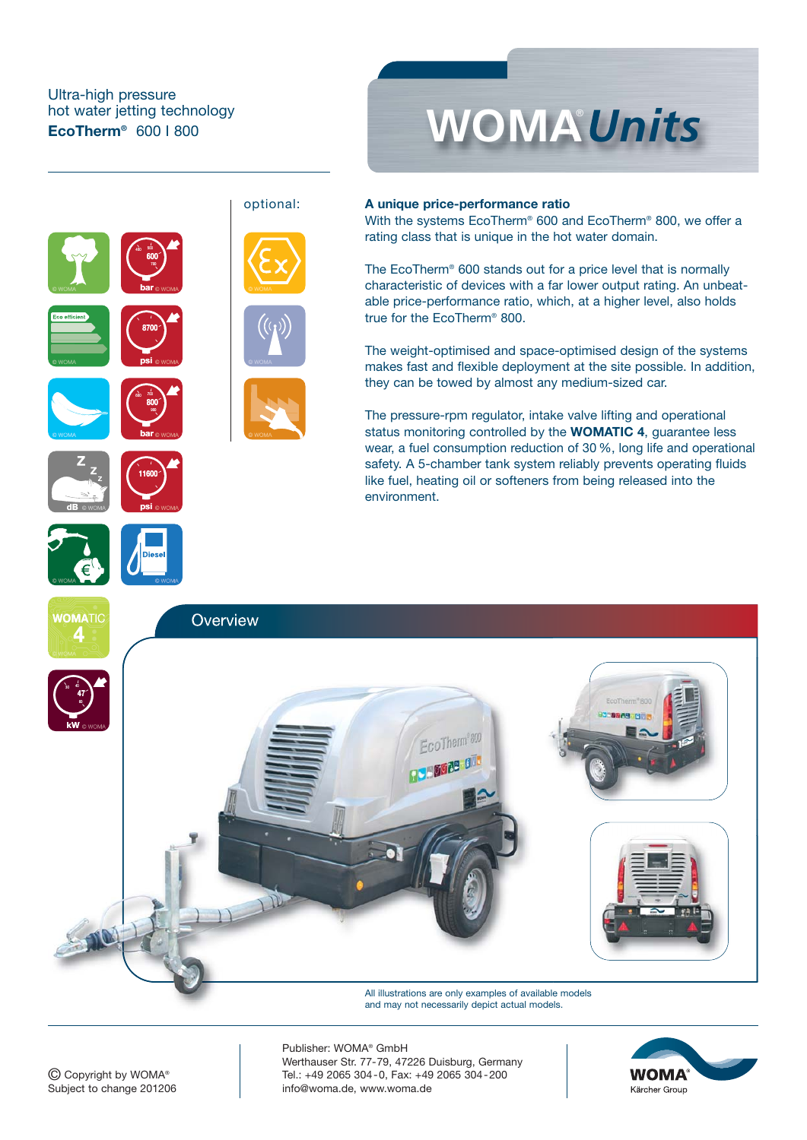### Ultra-high pressure hot water jetting technology **EcoTherm®** 600 I 800





#### **A unique price-performance ratio**

With the systems EcoTherm® 600 and EcoTherm® 800, we offer a rating class that is unique in the hot water domain.

The EcoTherm® 600 stands out for a price level that is normally characteristic of devices with a far lower output rating. An unbeatable price-performance ratio, which, at a higher level, also holds true for the EcoTherm® 800.

The weight-optimised and space-optimised design of the systems makes fast and flexible deployment at the site possible. In addition, they can be towed by almost any medium-sized car.

The pressure-rpm regulator, intake valve lifting and operational status monitoring controlled by the **WOMATIC 4**, guarantee less wear, a fuel consumption reduction of 30 %, long life and operational safety. A 5-chamber tank system reliably prevents operating fluids like fuel, heating oil or softeners from being released into the environment.



All illustrations are only examples of available models and may not necessarily depict actual models.

Publisher: WOMA® GmbH Werthauser Str. 77-79, 47226 Duisburg, Germany Tel.: +49 2065 304-0, Fax: +49 2065 304-200 info@woma.de, www.woma.de

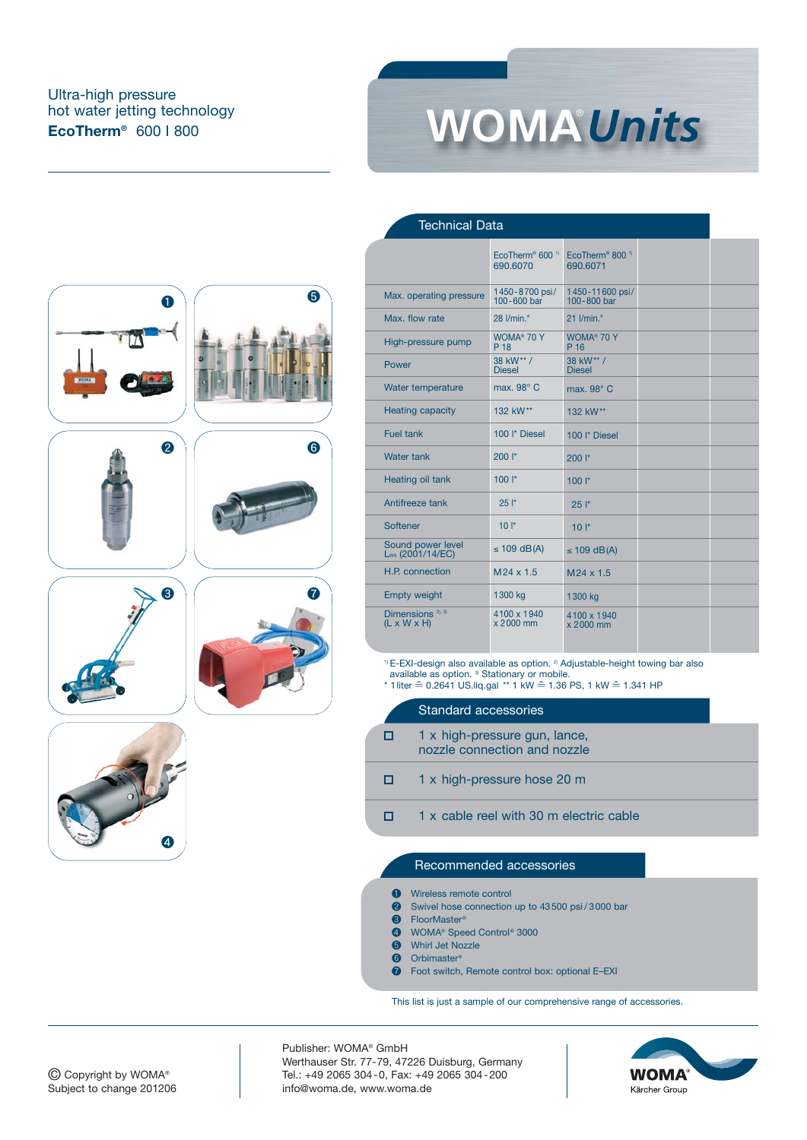# Ultra-high pressure hot water jetting technology



Technical Data











❹





|                                                         | EcoTherm <sup>®</sup> 600 <sup>1)</sup><br>690,6070 | EcoTherm <sup>®</sup> 800 <sup>1)</sup><br>690.6071 |  |
|---------------------------------------------------------|-----------------------------------------------------|-----------------------------------------------------|--|
| Max. operating pressure                                 | 1450-8700 psi/<br>100-600 bar                       | 1450-11600 psi/<br>100-800 bar                      |  |
| Max. flow rate                                          | 28 l/min.*                                          | 21 I/min.*                                          |  |
| High-pressure pump                                      | WOMA <sup>®</sup> 70 Y<br>P 18                      | WOMA <sup>®</sup> 70 Y<br>P 16                      |  |
| Power                                                   | 38 kW** /<br><b>Diesel</b>                          | 38 kW** /<br><b>Diesel</b>                          |  |
| Water temperature                                       | max. 98° C                                          | max. 98° C                                          |  |
| <b>Heating capacity</b>                                 | 132 kW**                                            | 132 kW**                                            |  |
| Fuel tank                                               | 100 <sup>l*</sup> Diesel                            | 100 <sup>l*</sup> Diesel                            |  |
| Water tank                                              | $200$ $\vert$ *                                     | $200$ $\vert$ *                                     |  |
| <b>Heating oil tank</b>                                 | $100$ $\vert$ *                                     | $100$ $\mid^*$                                      |  |
| Antifreeze tank                                         | 25'                                                 | 25'                                                 |  |
| Softener                                                | $10*$                                               | $10*$                                               |  |
| Sound power level<br>Lwa (2001/14/EC)                   | $\leq$ 109 dB(A)                                    | $\leq$ 109 dB(A)                                    |  |
| H.P. connection                                         | $M24 \times 1.5$                                    | M24 x 1.5                                           |  |
| <b>Empty weight</b>                                     | 1300 kg                                             | 1300 kg                                             |  |
| Dimensions <sup>2), 3)</sup><br>$(L \times W \times H)$ | 4100 x 1940<br>x 2000 mm                            | 4100 x 1940<br>x 2000 mm                            |  |
|                                                         |                                                     |                                                     |  |

 $1$ <sup>0</sup> E-EXI-design also available as option.  $2$ <sup>3</sup> Adjustable-height towing bar also available as option. 3) Stationary or mobile. \* 1liter ≙ 0.2641 US.liq.gal \*\* 1 kW ≙ 1.36 PS, 1 kW ≙ 1.341 HP

### Standard accessories 1 x high-pressure gun, lance, nozzle connection and nozzle

- $\Box$ 1 x high-pressure hose 20 m
- 1 x cable reel with 30 m electric cable  $\Box$

#### Recommended accessories

- **O** Wireless remote control
- ❷ Swivel hose connection up to 43500 psi / 3000 bar
- **<sup>3</sup>** FloorMaster®<br> **4** WOMA® Spee
- WOMA<sup>®</sup> Speed Control<sup>®</sup> 3000
- **6** Whirl Jet Nozzle<br>**6** Orbimaster®
- Orbimaster<sup>®</sup>
- ❼ Foot switch, Remote control box: optional E–EXI

This list is just a sample of our comprehensive range of accessories.

Publisher: WOMA® GmbH Werthauser Str. 77-79, 47226 Duisburg, Germany Tel.: +49 2065 304-0, Fax: +49 2065 304-200 info@woma.de, www.woma.de